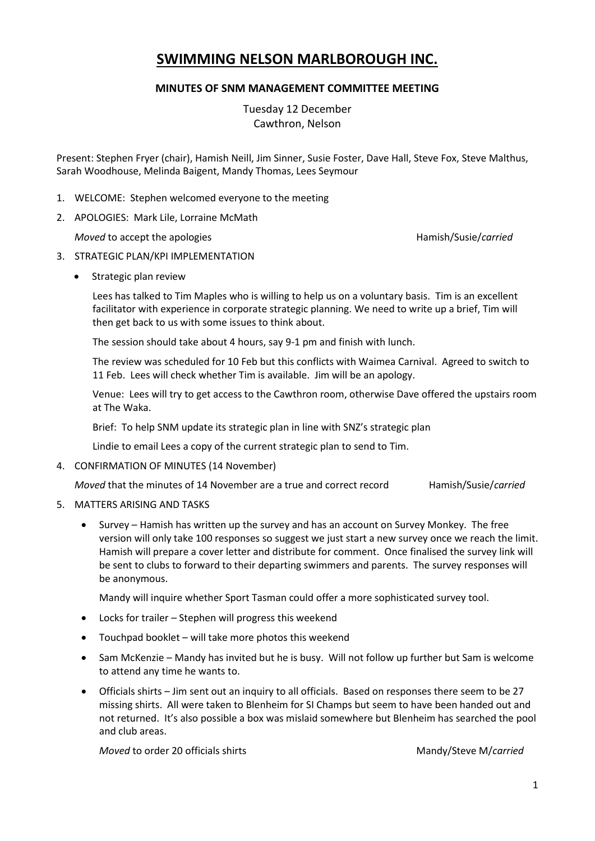# **SWIMMING NELSON MARLBOROUGH INC.**

## **MINUTES OF SNM MANAGEMENT COMMITTEE MEETING**

Tuesday 12 December Cawthron, Nelson

Present: Stephen Fryer (chair), Hamish Neill, Jim Sinner, Susie Foster, Dave Hall, Steve Fox, Steve Malthus, Sarah Woodhouse, Melinda Baigent, Mandy Thomas, Lees Seymour

- 1. WELCOME: Stephen welcomed everyone to the meeting
- 2. APOLOGIES: Mark Lile, Lorraine McMath

*Moved* to accept the apologies **Hamish/Susie/***carried* Hamish/Susie/*carried* 

## 3. STRATEGIC PLAN/KPI IMPLEMENTATION

• Strategic plan review

Lees has talked to Tim Maples who is willing to help us on a voluntary basis. Tim is an excellent facilitator with experience in corporate strategic planning. We need to write up a brief, Tim will then get back to us with some issues to think about.

The session should take about 4 hours, say 9-1 pm and finish with lunch.

The review was scheduled for 10 Feb but this conflicts with Waimea Carnival. Agreed to switch to 11 Feb. Lees will check whether Tim is available. Jim will be an apology.

Venue: Lees will try to get access to the Cawthron room, otherwise Dave offered the upstairs room at The Waka.

Brief: To help SNM update its strategic plan in line with SNZ's strategic plan

Lindie to email Lees a copy of the current strategic plan to send to Tim.

4. CONFIRMATION OF MINUTES (14 November)

*Moved* that the minutes of 14 November are a true and correct record Hamish/Susie/*carried* 

- 5. MATTERS ARISING AND TASKS
	- Survey Hamish has written up the survey and has an account on Survey Monkey. The free version will only take 100 responses so suggest we just start a new survey once we reach the limit. Hamish will prepare a cover letter and distribute for comment. Once finalised the survey link will be sent to clubs to forward to their departing swimmers and parents. The survey responses will be anonymous.

Mandy will inquire whether Sport Tasman could offer a more sophisticated survey tool.

- Locks for trailer Stephen will progress this weekend
- Touchpad booklet will take more photos this weekend
- Sam McKenzie Mandy has invited but he is busy. Will not follow up further but Sam is welcome to attend any time he wants to.
- Officials shirts Jim sent out an inquiry to all officials. Based on responses there seem to be 27 missing shirts. All were taken to Blenheim for SI Champs but seem to have been handed out and not returned. It's also possible a box was mislaid somewhere but Blenheim has searched the pool and club areas.

*Moved* to order 20 officials shirts Mandy/Steve M*lcarried* Mandy/Steve M*lcarried*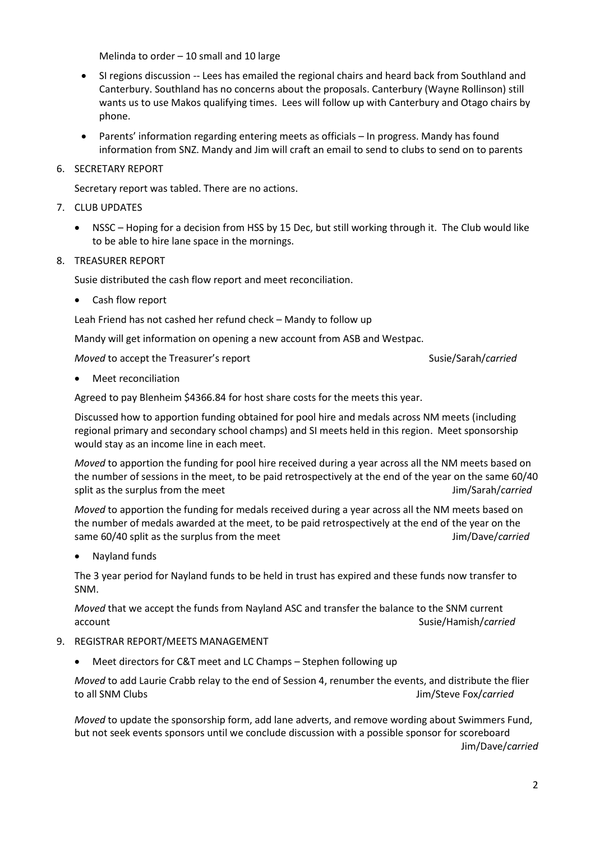Melinda to order – 10 small and 10 large

- SI regions discussion -- Lees has emailed the regional chairs and heard back from Southland and Canterbury. Southland has no concerns about the proposals. Canterbury (Wayne Rollinson) still wants us to use Makos qualifying times. Lees will follow up with Canterbury and Otago chairs by phone.
- Parents' information regarding entering meets as officials In progress. Mandy has found information from SNZ. Mandy and Jim will craft an email to send to clubs to send on to parents
- 6. SECRETARY REPORT

Secretary report was tabled. There are no actions.

- 7. CLUB UPDATES
	- NSSC Hoping for a decision from HSS by 15 Dec, but still working through it. The Club would like to be able to hire lane space in the mornings.
- 8. TREASURER REPORT

Susie distributed the cash flow report and meet reconciliation.

Cash flow report

Leah Friend has not cashed her refund check – Mandy to follow up

Mandy will get information on opening a new account from ASB and Westpac.

*Moved* to accept the Treasurer's report Susie/Sarah/carried Susie/Sarah/carried

Meet reconciliation

Agreed to pay Blenheim \$4366.84 for host share costs for the meets this year.

Discussed how to apportion funding obtained for pool hire and medals across NM meets (including regional primary and secondary school champs) and SI meets held in this region. Meet sponsorship would stay as an income line in each meet.

*Moved* to apportion the funding for pool hire received during a year across all the NM meets based on the number of sessions in the meet, to be paid retrospectively at the end of the year on the same 60/40 split as the surplus from the meet **All and Sarahovich and Sarahovich All and Sarah**/*carried* Jim/Sarah/*carried* 

*Moved* to apportion the funding for medals received during a year across all the NM meets based on the number of medals awarded at the meet, to be paid retrospectively at the end of the year on the same 60/40 split as the surplus from the meet Jim/Dave/*carried* 

Nayland funds

The 3 year period for Nayland funds to be held in trust has expired and these funds now transfer to SNM.

*Moved* that we accept the funds from Nayland ASC and transfer the balance to the SNM current account Susie/Hamish/*carried*

- 9. REGISTRAR REPORT/MEETS MANAGEMENT
	- Meet directors for C&T meet and LC Champs Stephen following up

*Moved* to add Laurie Crabb relay to the end of Session 4, renumber the events, and distribute the flier to all SNM Clubs Jim/Steve Fox/*carried*

*Moved* to update the sponsorship form, add lane adverts, and remove wording about Swimmers Fund, but not seek events sponsors until we conclude discussion with a possible sponsor for scoreboard Jim/Dave/*carried*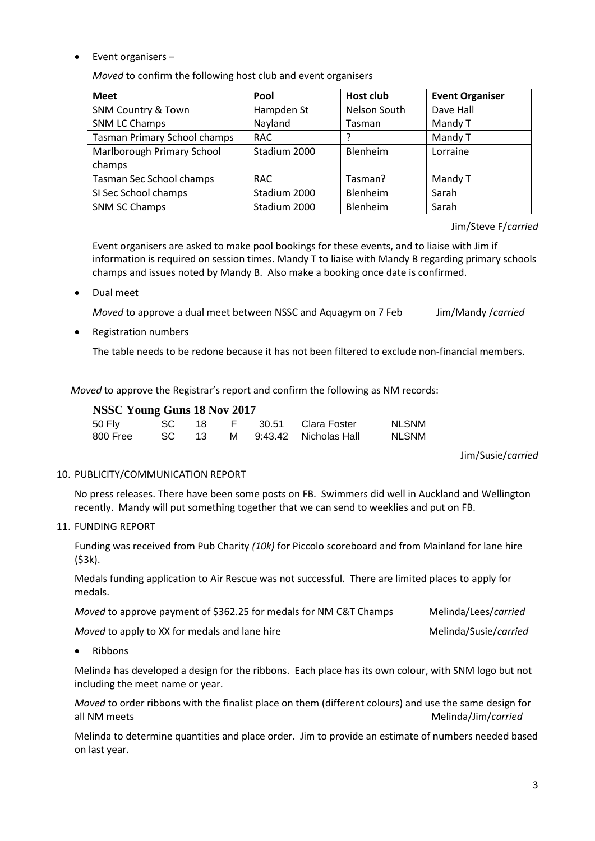• Event organisers –

*Moved* to confirm the following host club and event organisers

| <b>Meet</b>                         | Pool         | <b>Host club</b> | <b>Event Organiser</b> |
|-------------------------------------|--------------|------------------|------------------------|
| <b>SNM Country &amp; Town</b>       | Hampden St   | Nelson South     | Dave Hall              |
| <b>SNM LC Champs</b>                | Nayland      | Tasman           | Mandy T                |
| <b>Tasman Primary School champs</b> | <b>RAC</b>   |                  | Mandy T                |
| Marlborough Primary School          | Stadium 2000 | <b>Blenheim</b>  | Lorraine               |
| champs                              |              |                  |                        |
| Tasman Sec School champs            | <b>RAC</b>   | Tasman?          | Mandy T                |
| SI Sec School champs                | Stadium 2000 | Blenheim         | Sarah                  |
| <b>SNM SC Champs</b>                | Stadium 2000 | Blenheim         | Sarah                  |

Jim/Steve F/*carried*

Event organisers are asked to make pool bookings for these events, and to liaise with Jim if information is required on session times. Mandy T to liaise with Mandy B regarding primary schools champs and issues noted by Mandy B. Also make a booking once date is confirmed.

Dual meet

*Moved* to approve a dual meet between NSSC and Aquagym on 7 Feb Jim/Mandy /*carried*

• Registration numbers

The table needs to be redone because it has not been filtered to exclude non-financial members.

*Moved* to approve the Registrar's report and confirm the following as NM records:

## **NSSC Young Guns 18 Nov 2017**

| 50 Fly   | $SC = 18$ |  | F 30.51 Clara Foster      | <b>NLSNM</b> |
|----------|-----------|--|---------------------------|--------------|
| 800 Free | SC 13     |  | M  9:43.42  Nicholas Hall | <b>NLSNM</b> |

Jim/Susie/*carried*

#### 10. PUBLICITY/COMMUNICATION REPORT

No press releases. There have been some posts on FB. Swimmers did well in Auckland and Wellington recently. Mandy will put something together that we can send to weeklies and put on FB.

#### 11. FUNDING REPORT

Funding was received from Pub Charity *(10k)* for Piccolo scoreboard and from Mainland for lane hire (\$3k).

Medals funding application to Air Rescue was not successful. There are limited places to apply for medals.

*Moved* to approve payment of \$362.25 for medals for NM C&T Champs Melinda/Lees/*carried* 

*Moved* to apply to XX for medals and lane hire Melinda/Susie/*carried* Melinda/Susie/*carried* 

Ribbons

Melinda has developed a design for the ribbons. Each place has its own colour, with SNM logo but not including the meet name or year.

*Moved* to order ribbons with the finalist place on them (different colours) and use the same design for all NM meets and Melinda/Jim/*carried* Melinda/Jim/*carried* 

Melinda to determine quantities and place order. Jim to provide an estimate of numbers needed based on last year.